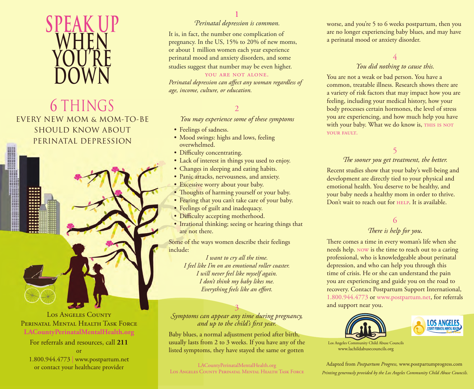

# 6 THINGS EVERY NEW MOM & MOM-TO-BE SHOULD KNOW ABOUT PERINATAL DEPRESSION



PERINATAL MENTAL HEALTH TASK FORCE **[LACountyPerinatalMentalHealth.org](www.lacountyperinatalmentalhealth.org)**

For referrals and resources, call **211** or 1.800.944.4773 | www.postpartum.net or contact your healthcare provider

### 1

### *Perinatal depression is common.*

It is, in fact, the number one complication of pregnancy. In the US, 15% to 20% of new moms, or about 1 million women each year experience perinatal mood and anxiety disorders, and some studies suggest that number may be even higher.

#### YOU ARE NOT ALONE.

*Perinatal depression can affect any woman regardless of age, income, culture, or education.*

### 2

*You may experience some of these symptoms*

- Feelings of sadness.
- Mood swings: highs and lows, feeling overwhelmed.
- Difficulty concentrating.
- Lack of interest in things you used to enjoy.
- Changes in sleeping and eating habits.
- Panic attacks, nervousness, and anxiety.
- Excessive worry about your baby.
- Thoughts of harming yourself or your baby.
- Fearing that you can't take care of your baby.
- Feelings of guilt and inadequacy.
- Difficulty accepting motherhood.
- Irrational thinking; seeing or hearing things that are not there.

Some of the ways women describe their feelings include:

> *I want to cry all the time. I feel like I'm on an emotional roller coaster. I will never feel like myself again. I don't think my baby likes me. Everything feels like an effort.*

3 *Symptoms can appear any time during pregnancy, and up to the child's first year.*

Baby blues, a normal adjustment period after birth, usually lasts from 2 to 3 weeks. If you have any of the listed symptoms, they have stayed the same or gotten

[LACountyPerinatalMentalHealth.org](www.lacountyperinatalmentalhealth.org) Los Angeles County Perinatal Mental Health Task Force worse, and you're 5 to 6 weeks postpartum, then you are no longer experiencing baby blues, and may have a perinatal mood or anxiety disorder.

### 4 *You did nothing to cause this.*

You are not a weak or bad person. You have a common, treatable illness. Research shows there are a variety of risk factors that may impact how you are feeling, including your medical history, how your body processes certain hormones, the level of stress you are experiencing, and how much help you have with your baby. What we do know is, THIS IS NOT YOUR FAULT.

## 5

### The sooner you get treatment, the better.

Recent studies show that your baby's well-being and development are directly tied to your physical and emotional health. You deserve to be healthy, and your baby needs a healthy mom in order to thrive. Don't wait to reach out for HELP. It is available.

### 6 *There is help for you.*

There comes a time in every woman's life when she needs help. now is the time to reach out to a caring professional, who is knowledgeable about perinatal depression, and who can help you through this time of crisis. He or she can understand the pain you are experiencing and guide you on the road to recovery. Contact Postpartum Support International, 1.800.944.4773 or www.postpartum.net, for referrals and support near you.





Los Angeles Community Child Abuse Councils www.lachildabusecouncils.org

Adapted from *Postpartum Progress,* www.postpartumprogress.com *Printing generously provided by the Los Angeles Community Child Abuse Councils.*